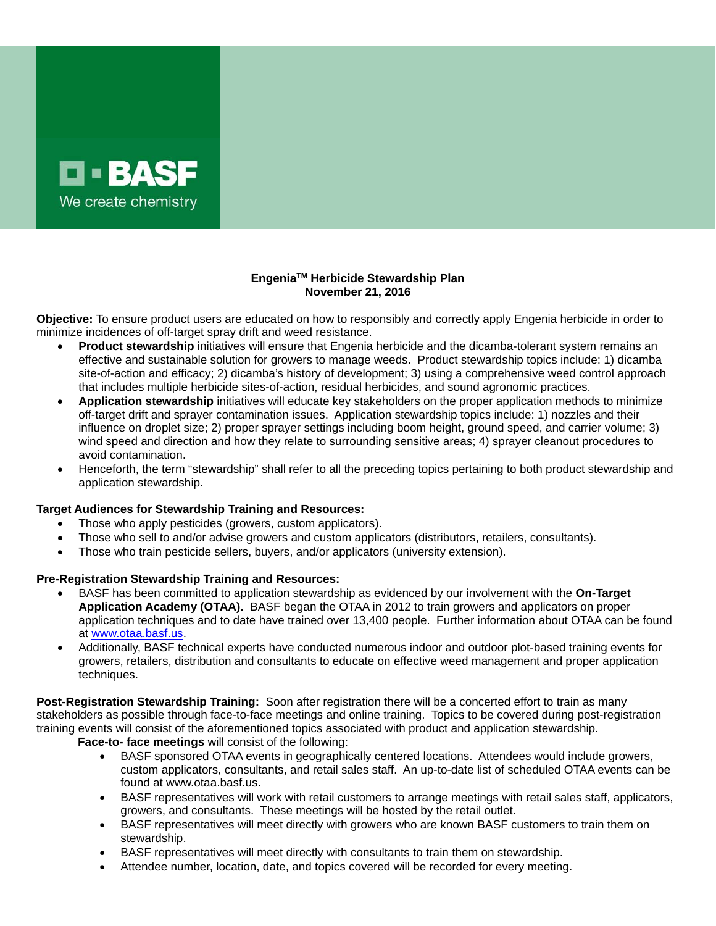

## **EngeniaTM Herbicide Stewardship Plan November 21, 2016**

**Objective:** To ensure product users are educated on how to responsibly and correctly apply Engenia herbicide in order to minimize incidences of off-target spray drift and weed resistance.

- **Product stewardship** initiatives will ensure that Engenia herbicide and the dicamba-tolerant system remains an effective and sustainable solution for growers to manage weeds. Product stewardship topics include: 1) dicamba site-of-action and efficacy; 2) dicamba's history of development; 3) using a comprehensive weed control approach that includes multiple herbicide sites-of-action, residual herbicides, and sound agronomic practices.
- **Application stewardship** initiatives will educate key stakeholders on the proper application methods to minimize off-target drift and sprayer contamination issues. Application stewardship topics include: 1) nozzles and their influence on droplet size; 2) proper sprayer settings including boom height, ground speed, and carrier volume; 3) wind speed and direction and how they relate to surrounding sensitive areas; 4) sprayer cleanout procedures to avoid contamination.
- Henceforth, the term "stewardship" shall refer to all the preceding topics pertaining to both product stewardship and application stewardship.

## **Target Audiences for Stewardship Training and Resources:**

- Those who apply pesticides (growers, custom applicators).
- Those who sell to and/or advise growers and custom applicators (distributors, retailers, consultants).
- Those who train pesticide sellers, buyers, and/or applicators (university extension).

## **Pre-Registration Stewardship Training and Resources:**

- BASF has been committed to application stewardship as evidenced by our involvement with the **On-Target Application Academy (OTAA).** BASF began the OTAA in 2012 to train growers and applicators on proper application techniques and to date have trained over 13,400 people. Further information about OTAA can be found at www.otaa.basf.us.
- Additionally, BASF technical experts have conducted numerous indoor and outdoor plot-based training events for growers, retailers, distribution and consultants to educate on effective weed management and proper application techniques.

**Post-Registration Stewardship Training:** Soon after registration there will be a concerted effort to train as many stakeholders as possible through face-to-face meetings and online training. Topics to be covered during post-registration training events will consist of the aforementioned topics associated with product and application stewardship. **Face-to- face meetings** will consist of the following:

- BASF sponsored OTAA events in geographically centered locations. Attendees would include growers, custom applicators, consultants, and retail sales staff. An up-to-date list of scheduled OTAA events can be found at www.otaa.basf.us.
- BASF representatives will work with retail customers to arrange meetings with retail sales staff, applicators, growers, and consultants. These meetings will be hosted by the retail outlet.
- BASF representatives will meet directly with growers who are known BASF customers to train them on stewardship.
- BASF representatives will meet directly with consultants to train them on stewardship.
- Attendee number, location, date, and topics covered will be recorded for every meeting.